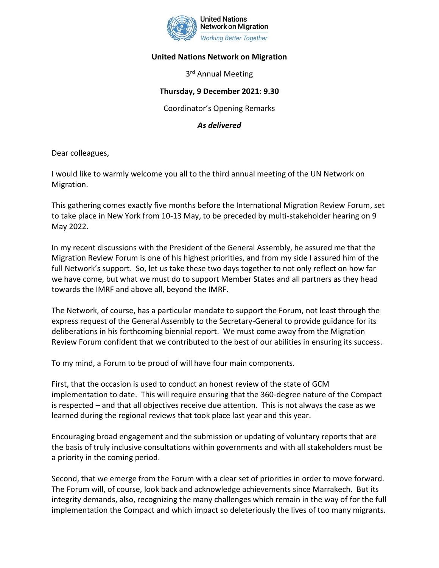

## **United Nations Network on Migration**

3<sup>rd</sup> Annual Meeting

## **Thursday, 9 December 2021: 9.30**

Coordinator's Opening Remarks

*As delivered*

Dear colleagues,

I would like to warmly welcome you all to the third annual meeting of the UN Network on Migration.

This gathering comes exactly five months before the International Migration Review Forum, set to take place in New York from 10-13 May, to be preceded by multi-stakeholder hearing on 9 May 2022.

In my recent discussions with the President of the General Assembly, he assured me that the Migration Review Forum is one of his highest priorities, and from my side I assured him of the full Network's support. So, let us take these two days together to not only reflect on how far we have come, but what we must do to support Member States and all partners as they head towards the IMRF and above all, beyond the IMRF.

The Network, of course, has a particular mandate to support the Forum, not least through the express request of the General Assembly to the Secretary-General to provide guidance for its deliberations in his forthcoming biennial report. We must come away from the Migration Review Forum confident that we contributed to the best of our abilities in ensuring its success.

To my mind, a Forum to be proud of will have four main components.

First, that the occasion is used to conduct an honest review of the state of GCM implementation to date. This will require ensuring that the 360-degree nature of the Compact is respected – and that all objectives receive due attention. This is not always the case as we learned during the regional reviews that took place last year and this year.

Encouraging broad engagement and the submission or updating of voluntary reports that are the basis of truly inclusive consultations within governments and with all stakeholders must be a priority in the coming period.

Second, that we emerge from the Forum with a clear set of priorities in order to move forward. The Forum will, of course, look back and acknowledge achievements since Marrakech. But its integrity demands, also, recognizing the many challenges which remain in the way of for the full implementation the Compact and which impact so deleteriously the lives of too many migrants.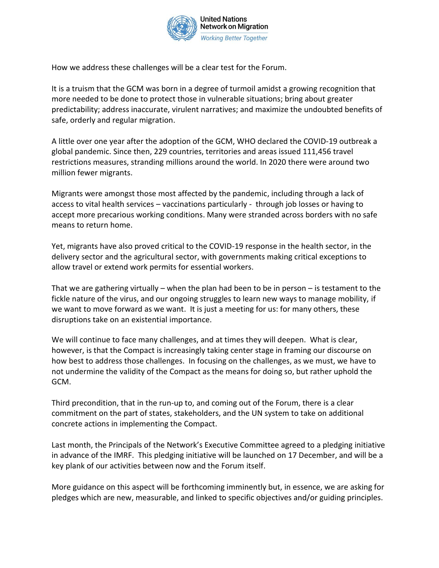

How we address these challenges will be a clear test for the Forum.

It is a truism that the GCM was born in a degree of turmoil amidst a growing recognition that more needed to be done to protect those in vulnerable situations; bring about greater predictability; address inaccurate, virulent narratives; and maximize the undoubted benefits of safe, orderly and regular migration.

A little over one year after the adoption of the GCM, WHO declared the COVID-19 outbreak a global pandemic. Since then, 229 countries, territories and areas issued 111,456 travel restrictions measures, stranding millions around the world. In 2020 there were around two million fewer migrants.

Migrants were amongst those most affected by the pandemic, including through a lack of access to vital health services – vaccinations particularly - through job losses or having to accept more precarious working conditions. Many were stranded across borders with no safe means to return home.

Yet, migrants have also proved critical to the COVID-19 response in the health sector, in the delivery sector and the agricultural sector, with governments making critical exceptions to allow travel or extend work permits for essential workers.

That we are gathering virtually – when the plan had been to be in person – is testament to the fickle nature of the virus, and our ongoing struggles to learn new ways to manage mobility, if we want to move forward as we want. It is just a meeting for us: for many others, these disruptions take on an existential importance.

We will continue to face many challenges, and at times they will deepen. What is clear, however, is that the Compact is increasingly taking center stage in framing our discourse on how best to address those challenges. In focusing on the challenges, as we must, we have to not undermine the validity of the Compact as the means for doing so, but rather uphold the GCM.

Third precondition, that in the run-up to, and coming out of the Forum, there is a clear commitment on the part of states, stakeholders, and the UN system to take on additional concrete actions in implementing the Compact.

Last month, the Principals of the Network's Executive Committee agreed to a pledging initiative in advance of the IMRF. This pledging initiative will be launched on 17 December, and will be a key plank of our activities between now and the Forum itself.

More guidance on this aspect will be forthcoming imminently but, in essence, we are asking for pledges which are new, measurable, and linked to specific objectives and/or guiding principles.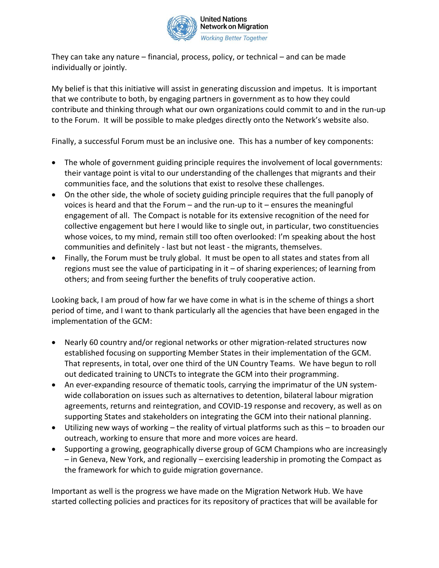

They can take any nature – financial, process, policy, or technical – and can be made individually or jointly.

My belief is that this initiative will assist in generating discussion and impetus. It is important that we contribute to both, by engaging partners in government as to how they could contribute and thinking through what our own organizations could commit to and in the run-up to the Forum. It will be possible to make pledges directly onto the Network's website also.

Finally, a successful Forum must be an inclusive one. This has a number of key components:

- The whole of government guiding principle requires the involvement of local governments: their vantage point is vital to our understanding of the challenges that migrants and their communities face, and the solutions that exist to resolve these challenges.
- On the other side, the whole of society guiding principle requires that the full panoply of voices is heard and that the Forum – and the run-up to it – ensures the meaningful engagement of all. The Compact is notable for its extensive recognition of the need for collective engagement but here I would like to single out, in particular, two constituencies whose voices, to my mind, remain still too often overlooked: I'm speaking about the host communities and definitely - last but not least - the migrants, themselves.
- Finally, the Forum must be truly global. It must be open to all states and states from all regions must see the value of participating in it – of sharing experiences; of learning from others; and from seeing further the benefits of truly cooperative action.

Looking back, I am proud of how far we have come in what is in the scheme of things a short period of time, and I want to thank particularly all the agencies that have been engaged in the implementation of the GCM:

- Nearly 60 country and/or regional networks or other migration-related structures now established focusing on supporting Member States in their implementation of the GCM. That represents, in total, over one third of the UN Country Teams. We have begun to roll out dedicated training to UNCTs to integrate the GCM into their programming.
- An ever-expanding resource of thematic tools, carrying the imprimatur of the UN systemwide collaboration on issues such as alternatives to detention, bilateral labour migration agreements, returns and reintegration, and COVID-19 response and recovery, as well as on supporting States and stakeholders on integrating the GCM into their national planning.
- Utilizing new ways of working the reality of virtual platforms such as this to broaden our outreach, working to ensure that more and more voices are heard.
- Supporting a growing, geographically diverse group of GCM Champions who are increasingly – in Geneva, New York, and regionally – exercising leadership in promoting the Compact as the framework for which to guide migration governance.

Important as well is the progress we have made on the Migration Network Hub. We have started collecting policies and practices for its repository of practices that will be available for